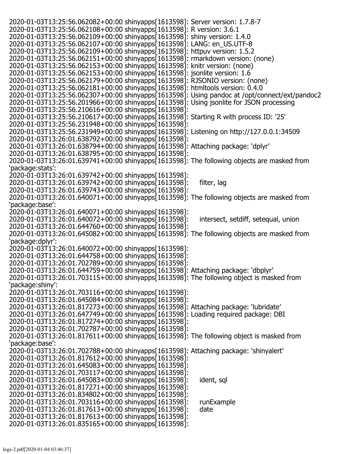| 2020-01-03T13:25:56.062082+00:00 shinyapps[1613598]: Server version: 1.7.8-7                  |                                     |
|-----------------------------------------------------------------------------------------------|-------------------------------------|
| 2020-01-03T13:25:56.062108+00:00 shinyapps[1613598]: R version: 3.6.1                         |                                     |
| 2020-01-03T13:25:56.062109+00:00 shinyapps[1613598]: shiny version: 1.4.0                     |                                     |
| 2020-01-03T13:25:56.062107+00:00 shinyapps[1613598]: LANG: en_US.UTF-8                        |                                     |
| 2020-01-03T13:25:56.062109+00:00 shinyapps[1613598]: httpuv version: 1.5.2                    |                                     |
| 2020-01-03T13:25:56.062151+00:00 shinyapps[1613598]: rmarkdown version: (none)                |                                     |
| 2020-01-03T13:25:56.062153+00:00 shinyapps[1613598]: knitr version: (none)                    |                                     |
| 2020-01-03T13:25:56.062153+00:00 shinyapps[1613598]: jsonlite version: 1.6                    |                                     |
| 2020-01-03T13:25:56.062179+00:00 shinyapps[1613598]: RJSONIO version: (none)                  |                                     |
| 2020-01-03T13:25:56.062181+00:00 shinyapps[1613598]: htmltools version: 0.4.0                 |                                     |
| 2020-01-03T13:25:56.062307+00:00 shinyapps[1613598]: Using pandoc at /opt/connect/ext/pandoc2 |                                     |
| 2020-01-03T13:25:56.201966+00:00 shinyapps[1613598]: Using jsonlite for JSON processing       |                                     |
| 2020-01-03T13:25:56.210616+00:00 shinyapps[1613598]:                                          |                                     |
| 2020-01-03T13:25:56.210617+00:00 shinyapps[1613598]: Starting R with process ID: '25'         |                                     |
| 2020-01-03T13:25:56.231948+00:00 shinyapps[1613598]:                                          |                                     |
| 2020-01-03T13:25:56.231949+00:00 shinyapps[1613598]: Listening on http://127.0.0.1:34509      |                                     |
| 2020-01-03T13:26:01.638792+00:00 shinyapps[1613598]:                                          |                                     |
| 2020-01-03T13:26:01.638794+00:00 shinyapps[1613598]: Attaching package: 'dplyr'               |                                     |
| 2020-01-03T13:26:01.638795+00:00 shinyapps[1613598]:                                          |                                     |
| 2020-01-03T13:26:01.639741+00:00 shinyapps[1613598]: The following objects are masked from    |                                     |
| 'package:stats':                                                                              |                                     |
| 2020-01-03T13:26:01.639742+00:00 shinyapps[1613598]:                                          |                                     |
| 2020-01-03T13:26:01.639742+00:00 shinyapps[1613598]:                                          | filter, lag                         |
|                                                                                               |                                     |
| 2020-01-03T13:26:01.639743+00:00 shinyapps[1613598]:                                          |                                     |
| 2020-01-03T13:26:01.640071+00:00 shinyapps[1613598]: The following objects are masked from    |                                     |
| 'package:base':                                                                               |                                     |
| 2020-01-03T13:26:01.640071+00:00 shinyapps[1613598]:                                          |                                     |
| 2020-01-03T13:26:01.640072+00:00 shinyapps[1613598]:                                          | intersect, setdiff, setequal, union |
| 2020-01-03T13:26:01.644760+00:00 shinyapps[1613598]:                                          |                                     |
| 2020-01-03T13:26:01.645082+00:00 shinyapps[1613598]: The following objects are masked from    |                                     |
| 'package:dplyr':                                                                              |                                     |
| 2020-01-03T13:26:01.640072+00:00 shinyapps[1613598]:                                          |                                     |
| 2020-01-03T13:26:01.644758+00:00 shinyapps[1613598]:                                          |                                     |
| 2020-01-03T13:26:01.702789+00:00 shinyapps[1613598]:                                          |                                     |
| 2020-01-03T13:26:01.644759+00:00 shinyapps[1613598]: Attaching package: 'dbplyr'              |                                     |
| 2020-01-03T13:26:01.703115+00:00 shinyapps[1613598]: The following object is masked from      |                                     |
| 'package:shiny':                                                                              |                                     |
| 2020-01-03T13:26:01.703116+00:00 shinyapps[1613598]:                                          |                                     |
| 2020-01-03T13:26:01.645084+00:00 shinyapps[1613598]:                                          |                                     |
| 2020-01-03T13:26:01.817273+00:00 shinyapps[1613598]: Attaching package: 'lubridate'           |                                     |
| 2020-01-03T13:26:01.647749+00:00 shinyapps[1613598]: Loading required package: DBI            |                                     |
| 2020-01-03T13:26:01.817274+00:00 shinyapps[1613598]:                                          |                                     |
| 2020-01-03T13:26:01.702787+00:00 shinyapps[1613598]:                                          |                                     |
| 2020-01-03T13:26:01.817611+00:00 shinyapps[1613598]: The following object is masked from      |                                     |
| 'package:base':                                                                               |                                     |
| 2020-01-03T13:26:01.702788+00:00 shinyapps[1613598]: Attaching package: 'shinyalert'          |                                     |
| 2020-01-03T13:26:01.817612+00:00 shinyapps[1613598]:                                          |                                     |
| 2020-01-03T13:26:01.645083+00:00 shinyapps[1613598]:                                          |                                     |
| 2020-01-03T13:26:01.703117+00:00 shinyapps[1613598]:                                          |                                     |
| 2020-01-03T13:26:01.645083+00:00 shinyapps[1613598]:                                          | ident, sql                          |
| 2020-01-03T13:26:01.817271+00:00 shinyapps[1613598]:                                          |                                     |
| 2020-01-03T13:26:01.834802+00:00 shinyapps[1613598]:                                          |                                     |
| 2020-01-03T13:26:01.703116+00:00 shinyapps[1613598]:                                          | runExample                          |
| 2020-01-03T13:26:01.817613+00:00 shinyapps[1613598]:                                          | date                                |
| 2020-01-03T13:26:01.817613+00:00 shinyapps[1613598]:                                          |                                     |
| 2020-01-03T13:26:01.835165+00:00 shinyapps[1613598]:                                          |                                     |
|                                                                                               |                                     |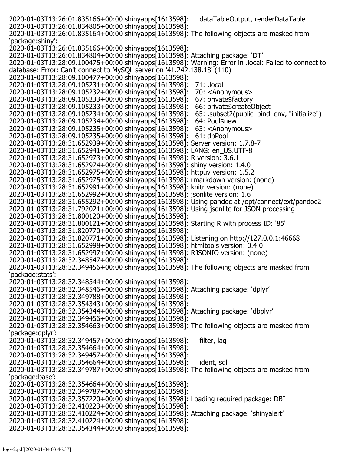2020-01-03T13:26:01.835166+00:00 shinyapps[1613598]: dataTableOutput, renderDataTable 2020-01-03T13:26:01.834805+00:00 shinyapps[1613598]: 2020-01-03T13:26:01.835164+00:00 shinyapps[1613598]: The following objects are masked from 'package:shiny': 2020-01-03T13:26:01.835166+00:00 shinyapps[1613598]: 2020-01-03T13:26:01.834804+00:00 shinyapps[1613598]: Attaching package: 'DT' 2020-01-03T13:28:09.100475+00:00 shinyapps[1613598]: Warning: Error in .local: Failed to connect to database: Error: Can't connect to MySQL server on '41.242.138.18' (110) 2020-01-03T13:28:09.100477+00:00 shinyapps[1613598]: 2020-01-03T13:28:09.105231+00:00 shinyapps[1613598]: 71: .local 2020-01-03T13:28:09.105232+00:00 shinyapps[1613598]: 70: <Anonymous> 2020-01-03T13:28:09.105233+00:00 shinyapps[1613598]: 67: private\$factory 2020-01-03T13:28:09.105233+00:00 shinyapps[1613598]: 66: private\$createObject<br>2020-01-03T13:28:09.105234+00:00 shinyapps[1613598]: 65: .subset2(public\_bind\_env, "initialize") 2020-01-03T13:28:09.105234+00:00 shinyapps[1613598]: 65: .subset2(p<br>2020-01-03T13:28:09.105234+00:00 shinyapps[1613598]: 64: Pool\$new 2020-01-03T13:28:09.105234+00:00 shinyapps[1613598]: 64: Pool\$new 2020-01-03T13:28:09.105235+00:00 shinyapps[1613598]: 63: <Anonymous> 2020-01-03T13:28:09.105235+00:00 shinyapps[1613598]: 61: dbPool 2020-01-03T13:28:31.652939+00:00 shinyapps[1613598]: Server version: 1.7.8-7 2020-01-03T13:28:31.652941+00:00 shinyapps[1613598]: LANG: en\_US.UTF-8 2020-01-03T13:28:31.652973+00:00 shinyapps[1613598]: R version: 3.6.1 2020-01-03T13:28:31.652974+00:00 shinyapps[1613598]: shiny version: 1.4.0 2020-01-03T13:28:31.652975+00:00 shinyapps[1613598]: httpuv version: 1.5.2 2020-01-03T13:28:31.652975+00:00 shinyapps[1613598]: rmarkdown version: (none) 2020-01-03T13:28:31.652991+00:00 shinyapps[1613598]: knitr version: (none) 2020-01-03T13:28:31.652992+00:00 shinyapps[1613598]: jsonlite version: 1.6 2020-01-03T13:28:31.655292+00:00 shinyapps[1613598]: Using pandoc at /opt/connect/ext/pandoc2 2020-01-03T13:28:31.792021+00:00 shinyapps[1613598]: Using jsonlite for JSON processing 2020-01-03T13:28:31.800120+00:00 shinyapps[1613598]: 2020-01-03T13:28:31.800121+00:00 shinyapps[1613598]: Starting R with process ID: '85' 2020-01-03T13:28:31.820770+00:00 shinyapps[1613598]: 2020-01-03T13:28:31.820771+00:00 shinyapps[1613598]: Listening on http://127.0.0.1:46668 2020-01-03T13:28:31.652998+00:00 shinyapps[1613598]: htmltools version: 0.4.0 2020-01-03T13:28:31.652997+00:00 shinyapps[1613598]: RJSONIO version: (none) 2020-01-03T13:28:32.348547+00:00 shinyapps[1613598]: 2020-01-03T13:28:32.349456+00:00 shinyapps[1613598]: The following objects are masked from 'package:stats': 2020-01-03T13:28:32.348544+00:00 shinyapps[1613598]: 2020-01-03T13:28:32.348546+00:00 shinyapps[1613598]: Attaching package: 'dplyr' 2020-01-03T13:28:32.349788+00:00 shinyapps[1613598]: 2020-01-03T13:28:32.354343+00:00 shinyapps[1613598]: 2020-01-03T13:28:32.354344+00:00 shinyapps[1613598]: Attaching package: 'dbplyr' 2020-01-03T13:28:32.349456+00:00 shinyapps[1613598]: 2020-01-03T13:28:32.354663+00:00 shinyapps[1613598]: The following objects are masked from 'package:dplyr': 2020-01-03T13:28:32.349457+00:00 shinyapps[1613598]: filter, lag 2020-01-03T13:28:32.354664+00:00 shinyapps[1613598]: 2020-01-03T13:28:32.349457+00:00 shinyapps[1613598]: 2020-01-03T13:28:32.354664+00:00 shinyapps[1613598]: ident, sql 2020-01-03T13:28:32.349787+00:00 shinyapps[1613598]: The following objects are masked from 'package:base': 2020-01-03T13:28:32.354664+00:00 shinyapps[1613598]: 2020-01-03T13:28:32.349787+00:00 shinyapps[1613598]: 2020-01-03T13:28:32.357220+00:00 shinyapps[1613598]: Loading required package: DBI 2020-01-03T13:28:32.410223+00:00 shinyapps[1613598]: 2020-01-03T13:28:32.410224+00:00 shinyapps[1613598]: Attaching package: 'shinyalert' 2020-01-03T13:28:32.410224+00:00 shinyapps[1613598]: 2020-01-03T13:28:32.354344+00:00 shinyapps[1613598]: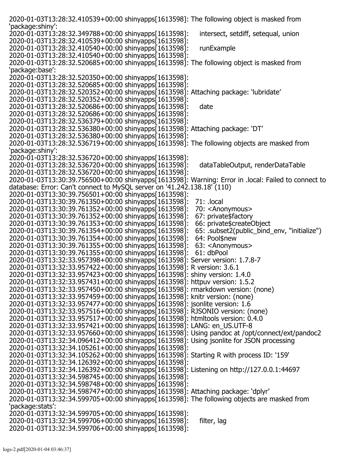| 2020-01-03T13:28:32.410539+00:00 shinyapps[1613598]: The following object is masked from            |                                             |
|-----------------------------------------------------------------------------------------------------|---------------------------------------------|
| 'package:shiny':                                                                                    |                                             |
| 2020-01-03T13:28:32.349788+00:00 shinyapps[1613598]:                                                | intersect, setdiff, setequal, union         |
| 2020-01-03T13:28:32.410539+00:00 shinyapps[1613598]:                                                |                                             |
| 2020-01-03T13:28:32.410540+00:00 shinyapps[1613598]:                                                | runExample                                  |
| 2020-01-03T13:28:32.410540+00:00 shinyapps[1613598]:                                                |                                             |
| 2020-01-03T13:28:32.520685+00:00 shinyapps[1613598]: The following object is masked from            |                                             |
| 'package:base':                                                                                     |                                             |
| 2020-01-03T13:28:32.520350+00:00 shinyapps[1613598]:                                                |                                             |
| 2020-01-03T13:28:32.520685+00:00 shinyapps[1613598]:                                                |                                             |
| 2020-01-03T13:28:32.520352+00:00 shinyapps[1613598]: Attaching package: 'lubridate'                 |                                             |
| 2020-01-03T13:28:32.520352+00:00 shinyapps[1613598]:                                                |                                             |
| 2020-01-03T13:28:32.520686+00:00 shinyapps[1613598]:                                                | date                                        |
| 2020-01-03T13:28:32.520686+00:00 shinyapps[1613598]:                                                |                                             |
| 2020-01-03T13:28:32.536379+00:00 shinyapps[1613598]:                                                |                                             |
| 2020-01-03T13:28:32.536380+00:00 shinyapps[1613598]: Attaching package: 'DT'                        |                                             |
| 2020-01-03T13:28:32.536380+00:00 shinyapps[1613598]:                                                |                                             |
| 2020-01-03T13:28:32.536719+00:00 shinyapps[1613598]: The following objects are masked from          |                                             |
| 'package:shiny':                                                                                    |                                             |
| 2020-01-03T13:28:32.536720+00:00 shinyapps[1613598]:                                                |                                             |
| 2020-01-03T13:28:32.536720+00:00 shinyapps[1613598]:                                                | dataTableOutput, renderDataTable            |
| 2020-01-03T13:28:32.536720+00:00 shinyapps[1613598]:                                                |                                             |
| 2020-01-03T13:30:39.756500+00:00 shinyapps[1613598]: Warning: Error in .local: Failed to connect to |                                             |
| database: Error: Can't connect to MySQL server on '41.242.138.18' (110)                             |                                             |
| 2020-01-03T13:30:39.756501+00:00 shinyapps[1613598]:                                                |                                             |
| 2020-01-03T13:30:39.761350+00:00 shinyapps[1613598]:                                                | 71: .local                                  |
|                                                                                                     |                                             |
| 2020-01-03T13:30:39.761352+00:00 shinyapps[1613598]:                                                | 70: <anonymous></anonymous>                 |
| 2020-01-03T13:30:39.761352+00:00 shinyapps[1613598]:                                                | 67: private\$factory                        |
| 2020-01-03T13:30:39.761353+00:00 shinyapps[1613598]:                                                | 66: private\$createObject                   |
| 2020-01-03T13:30:39.761354+00:00 shinyapps[1613598]:                                                | 65: .subset2(public_bind_env, "initialize") |
| 2020-01-03T13:30:39.761354+00:00 shinyapps[1613598]:                                                | 64: Pool\$new                               |
| 2020-01-03T13:30:39.761355+00:00 shinyapps[1613598]:                                                | 63: <anonymous></anonymous>                 |
| 2020-01-03T13:30:39.761355+00:00 shinyapps[1613598]:                                                | 61: dbPool                                  |
| 2020-01-03T13:32:33.957398+00:00 shinyapps[1613598]: Server version: 1.7.8-7                        |                                             |
| 2020-01-03T13:32:33.957422+00:00 shinyapps[1613598]: R version: 3.6.1                               |                                             |
| 2020-01-03T13:32:33.957423+00:00 shinyapps[1613598]: shiny version: 1.4.0                           |                                             |
| 2020-01-03T13:32:33.957431+00:00 shinyapps[1613598]: httpuv version: 1.5.2                          |                                             |
| 2020-01-03T13:32:33.957450+00:00 shinyapps[1613598]: rmarkdown version: (none)                      |                                             |
| 2020-01-03T13:32:33.957459+00:00 shinyapps[1613598]: knitr version: (none)                          |                                             |
| 2020-01-03T13:32:33.957477+00:00 shinyapps[1613598]: jsonlite version: 1.6                          |                                             |
| 2020-01-03T13:32:33.957516+00:00 shinyapps[1613598]: RJSONIO version: (none)                        |                                             |
| 2020-01-03T13:32:33.957517+00:00 shinyapps[1613598]: htmltools version: 0.4.0                       |                                             |
| 2020-01-03T13:32:33.957421+00:00 shinyapps[1613598]: LANG: en_US.UTF-8                              |                                             |
| 2020-01-03T13:32:33.957660+00:00 shinyapps[1613598]: Using pandoc at /opt/connect/ext/pandoc2       |                                             |
| 2020-01-03T13:32:34.096412+00:00 shinyapps[1613598]: Using jsonlite for JSON processing             |                                             |
| 2020-01-03T13:32:34.105261+00:00 shinyapps[1613598]:                                                |                                             |
| 2020-01-03T13:32:34.105262+00:00 shinyapps[1613598]: Starting R with process ID: '159'              |                                             |
| 2020-01-03T13:32:34.126392+00:00 shinyapps[1613598]:                                                |                                             |
| 2020-01-03T13:32:34.126392+00:00 shinyapps[1613598]: Listening on http://127.0.0.1:44697            |                                             |
| 2020-01-03T13:32:34.598745+00:00 shinyapps[1613598]:                                                |                                             |
| 2020-01-03T13:32:34.598748+00:00 shinyapps[1613598]:                                                |                                             |
| 2020-01-03T13:32:34.598747+00:00 shinyapps[1613598]: Attaching package: 'dplyr'                     |                                             |
| 2020-01-03T13:32:34.599705+00:00 shinyapps[1613598]: The following objects are masked from          |                                             |
| 'package: stats':                                                                                   |                                             |
| 2020-01-03T13:32:34.599705+00:00 shinyapps[1613598]:                                                |                                             |
| 2020-01-03T13:32:34.599706+00:00 shinyapps[1613598]:                                                | filter, lag                                 |
| 2020-01-03T13:32:34.599706+00:00 shinyapps[1613598]:                                                |                                             |
|                                                                                                     |                                             |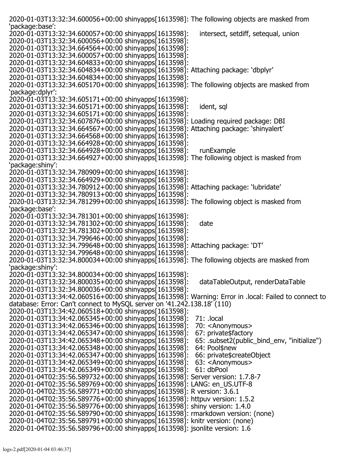| 2020-01-03T13:32:34.600056+00:00 shinyapps[1613598]: The following objects are masked from          |                                             |
|-----------------------------------------------------------------------------------------------------|---------------------------------------------|
| 'package:base':                                                                                     |                                             |
| 2020-01-03T13:32:34.600057+00:00 shinyapps[1613598]:                                                | intersect, setdiff, setequal, union         |
| 2020-01-03T13:32:34.600056+00:00 shinyapps[1613598]:                                                |                                             |
| 2020-01-03T13:32:34.664564+00:00 shinyapps[1613598]:                                                |                                             |
| 2020-01-03T13:32:34.600057+00:00 shinyapps[1613598]:                                                |                                             |
| 2020-01-03T13:32:34.604833+00:00 shinyapps[1613598]:                                                |                                             |
| 2020-01-03T13:32:34.604834+00:00 shinyapps[1613598]: Attaching package: 'dbplyr'                    |                                             |
| 2020-01-03T13:32:34.604834+00:00 shinyapps[1613598]:                                                |                                             |
| 2020-01-03T13:32:34.605170+00:00 shinyapps[1613598]: The following objects are masked from          |                                             |
|                                                                                                     |                                             |
| 'package:dplyr':                                                                                    |                                             |
| 2020-01-03T13:32:34.605171+00:00 shinyapps[1613598]:                                                |                                             |
| 2020-01-03T13:32:34.605171+00:00 shinyapps[1613598]:                                                | ident, sql                                  |
| 2020-01-03T13:32:34.605171+00:00 shinyapps[1613598]:                                                |                                             |
| 2020-01-03T13:32:34.607876+00:00 shinyapps[1613598]: Loading required package: DBI                  |                                             |
| 2020-01-03T13:32:34.664567+00:00 shinyapps[1613598]: Attaching package: 'shinyalert'                |                                             |
| 2020-01-03T13:32:34.664568+00:00 shinyapps[1613598]:                                                |                                             |
| 2020-01-03T13:32:34.664928+00:00 shinyapps[1613598]:                                                |                                             |
| 2020-01-03T13:32:34.664928+00:00 shinyapps[1613598]:                                                | runExample                                  |
| 2020-01-03T13:32:34.664927+00:00 shinyapps[1613598]: The following object is masked from            |                                             |
| 'package:shiny':                                                                                    |                                             |
| 2020-01-03T13:32:34.780909+00:00 shinyapps[1613598]:                                                |                                             |
| 2020-01-03T13:32:34.664929+00:00 shinyapps[1613598]:                                                |                                             |
| 2020-01-03T13:32:34.780912+00:00 shinyapps[1613598]: Attaching package: 'lubridate'                 |                                             |
|                                                                                                     |                                             |
| 2020-01-03T13:32:34.780913+00:00 shinyapps[1613598]:                                                |                                             |
| 2020-01-03T13:32:34.781299+00:00 shinyapps[1613598]: The following object is masked from            |                                             |
| 'package:base':                                                                                     |                                             |
| 2020-01-03T13:32:34.781301+00:00 shinyapps[1613598]:                                                |                                             |
| 2020-01-03T13:32:34.781302+00:00 shinyapps[1613598]:                                                | date                                        |
| 2020-01-03T13:32:34.781302+00:00 shinyapps[1613598]:                                                |                                             |
| 2020-01-03T13:32:34.799646+00:00 shinyapps[1613598]:                                                |                                             |
| 2020-01-03T13:32:34.799648+00:00 shinyapps[1613598]: Attaching package: 'DT'                        |                                             |
| 2020-01-03T13:32:34.799648+00:00 shinyapps[1613598]:                                                |                                             |
| 2020-01-03T13:32:34.800034+00:00 shinyapps[1613598]: The following objects are masked from          |                                             |
| 'package:shiny':                                                                                    |                                             |
| 2020-01-03T13:32:34.800034+00:00 shinyapps[1613598]:                                                |                                             |
| 2020-01-03T13:32:34.800035+00:00 shinyapps[1613598]:                                                | dataTableOutput, renderDataTable            |
| 2020-01-03T13:32:34.800036+00:00 shinyapps[1613598]:                                                |                                             |
| 2020-01-03T13:34:42.060516+00:00 shinyapps[1613598]: Warning: Error in .local: Failed to connect to |                                             |
| database: Error: Can't connect to MySQL server on '41.242.138.18' (110)                             |                                             |
| 2020-01-03T13:34:42.060518+00:00 shinyapps[1613598]:                                                |                                             |
| 2020-01-03T13:34:42.065345+00:00 shinyapps[1613598]:                                                | 71: .local                                  |
|                                                                                                     | 70: <anonymous></anonymous>                 |
| 2020-01-03T13:34:42.065346+00:00 shinyapps[1613598]:                                                |                                             |
| 2020-01-03T13:34:42.065347+00:00 shinyapps[1613598]:                                                | 67: private\$factory                        |
| 2020-01-03T13:34:42.065348+00:00 shinyapps[1613598]:                                                | 65: .subset2(public_bind_env, "initialize") |
| 2020-01-03T13:34:42.065348+00:00 shinyapps[1613598]:                                                | 64: Pool\$new                               |
| 2020-01-03T13:34:42.065347+00:00 shinyapps[1613598]:                                                | 66: private \$create Object                 |
| 2020-01-03T13:34:42.065349+00:00 shinyapps[1613598]:                                                | 63: <anonymous></anonymous>                 |
| 2020-01-03T13:34:42.065349+00:00 shinyapps[1613598]:                                                | 61: dbPool                                  |
| 2020-01-04T02:35:56.589732+00:00 shinyapps[1613598]: Server version: 1.7.8-7                        |                                             |
| 2020-01-04T02:35:56.589769+00:00 shinyapps[1613598]: LANG: en_US.UTF-8                              |                                             |
| 2020-01-04T02:35:56.589771+00:00 shinyapps[1613598]: R version: 3.6.1                               |                                             |
| 2020-01-04T02:35:56.589776+00:00 shinyapps[1613598]: httpuv version: 1.5.2                          |                                             |
| 2020-01-04T02:35:56.589776+00:00 shinyapps[1613598]: shiny version: 1.4.0                           |                                             |
| 2020-01-04T02:35:56.589790+00:00 shinyapps[1613598]: rmarkdown version: (none)                      |                                             |
| 2020-01-04T02:35:56.589791+00:00 shinyapps[1613598]: knitr version: (none)                          |                                             |
| 2020-01-04T02:35:56.589796+00:00 shinyapps[1613598]: jsonlite version: 1.6                          |                                             |
|                                                                                                     |                                             |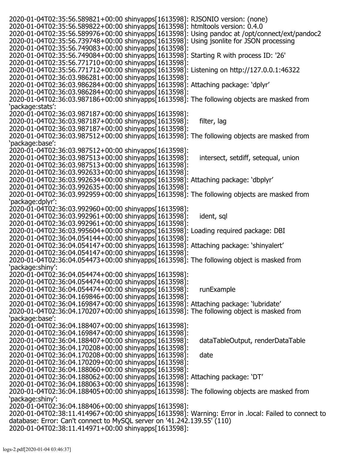2020-01-04T02:35:56.589821+00:00 shinyapps[1613598]: RJSONIO version: (none) 2020-01-04T02:35:56.589822+00:00 shinyapps[1613598]: htmltools version: 0.4.0 2020-01-04T02:35:56.589976+00:00 shinyapps[1613598]: Using pandoc at /opt/connect/ext/pandoc2 2020-01-04T02:35:56.739748+00:00 shinyapps[1613598]: Using jsonlite for JSON processing 2020-01-04T02:35:56.749083+00:00 shinyapps[1613598]: 2020-01-04T02:35:56.749084+00:00 shinyapps[1613598]: Starting R with process ID: '26' 2020-01-04T02:35:56.771710+00:00 shinyapps[1613598]: 2020-01-04T02:35:56.771712+00:00 shinyapps[1613598]: Listening on http://127.0.0.1:46322 2020-01-04T02:36:03.986281+00:00 shinyapps[1613598]: 2020-01-04T02:36:03.986284+00:00 shinyapps[1613598]: Attaching package: 'dplyr' 2020-01-04T02:36:03.986284+00:00 shinyapps[1613598]: 2020-01-04T02:36:03.987186+00:00 shinyapps[1613598]: The following objects are masked from 'package:stats': 2020-01-04T02:36:03.987187+00:00 shinyapps[1613598]: 2020-01-04T02:36:03.987187+00:00 shinyapps[1613598]: filter, lag 2020-01-04T02:36:03.987187+00:00 shinyapps[1613598]: 2020-01-04T02:36:03.987512+00:00 shinyapps[1613598]: The following objects are masked from 'package:base': 2020-01-04T02:36:03.987512+00:00 shinyapps[1613598]: 2020-01-04T02:36:03.987513+00:00 shinyapps[1613598]: intersect, setdiff, setequal, union 2020-01-04T02:36:03.987513+00:00 shinyapps[1613598]: 2020-01-04T02:36:03.992633+00:00 shinyapps[1613598]: 2020-01-04T02:36:03.992634+00:00 shinyapps[1613598]: Attaching package: 'dbplyr' 2020-01-04T02:36:03.992635+00:00 shinyapps[1613598]: 2020-01-04T02:36:03.992959+00:00 shinyapps[1613598]: The following objects are masked from 'package:dplyr': 2020-01-04T02:36:03.992960+00:00 shinyapps[1613598]: 2020-01-04T02:36:03.992961+00:00 shinyapps[1613598]: ident, sql 2020-01-04T02:36:03.992961+00:00 shinyapps[1613598]: 2020-01-04T02:36:03.995604+00:00 shinyapps[1613598]: Loading required package: DBI 2020-01-04T02:36:04.054144+00:00 shinyapps[1613598]: 2020-01-04T02:36:04.054147+00:00 shinyapps[1613598]: Attaching package: 'shinyalert' 2020-01-04T02:36:04.054147+00:00 shinyapps[1613598]: 2020-01-04T02:36:04.054473+00:00 shinyapps[1613598]: The following object is masked from 'package:shiny': 2020-01-04T02:36:04.054474+00:00 shinyapps[1613598]: 2020-01-04T02:36:04.054474+00:00 shinyapps[1613598]: 2020-01-04T02:36:04.054474+00:00 shinyapps[1613598]: runExample 2020-01-04T02:36:04.169846+00:00 shinyapps[1613598]: 2020-01-04T02:36:04.169847+00:00 shinyapps[1613598]: Attaching package: 'lubridate' 2020-01-04T02:36:04.170207+00:00 shinyapps[1613598]: The following object is masked from 'package:base': 2020-01-04T02:36:04.188407+00:00 shinyapps[1613598]: 2020-01-04T02:36:04.169847+00:00 shinyapps[1613598]: 2020-01-04T02:36:04.188407+00:00 shinyapps[1613598]: dataTableOutput, renderDataTable 2020-01-04T02:36:04.170208+00:00 shinyapps[1613598]: 2020-01-04T02:36:04.170208+00:00 shinyapps[1613598]: date 2020-01-04T02:36:04.170209+00:00 shinyapps[1613598]: 2020-01-04T02:36:04.188060+00:00 shinyapps[1613598]: 2020-01-04T02:36:04.188062+00:00 shinyapps[1613598]: Attaching package: 'DT' 2020-01-04T02:36:04.188063+00:00 shinyapps[1613598]: 2020-01-04T02:36:04.188405+00:00 shinyapps[1613598]: The following objects are masked from 'package:shiny': 2020-01-04T02:36:04.188406+00:00 shinyapps[1613598]: 2020-01-04T02:38:11.414967+00:00 shinyapps[1613598]: Warning: Error in .local: Failed to connect to database: Error: Can't connect to MySQL server on '41.242.139.55' (110) 2020-01-04T02:38:11.414971+00:00 shinyapps[1613598]: